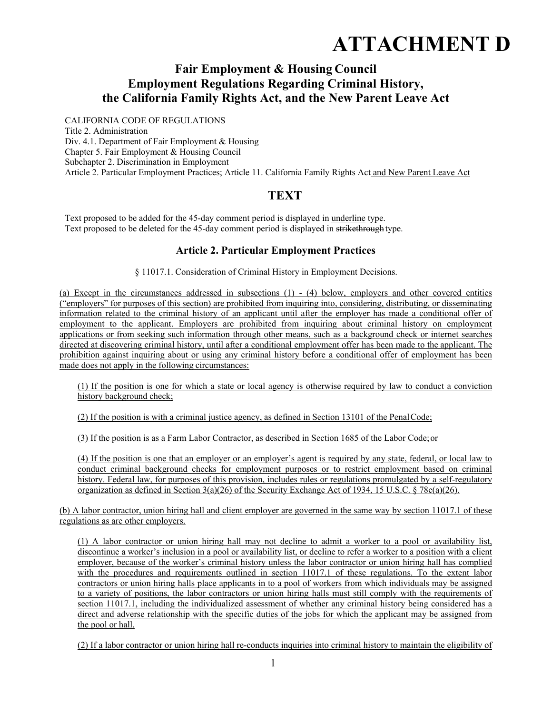# **ATTACHMENT D**

# **Fair Employment & Housing Council Employment Regulations Regarding Criminal History, the California Family Rights Act, and the New Parent Leave Act**

CALIFORNIA CODE OF REGULATIONS Title 2. Administration Div. 4.1. Department of Fair Employment & Housing Chapter 5. Fair Employment & Housing Council Subchapter 2. Discrimination in Employment Article 2. Particular Employment Practices; Article 11. California Family Rights Act and New Parent Leave Act

# **TEXT**

Text proposed to be added for the 45-day comment period is displayed in underline type. Text proposed to be deleted for the 45-day comment period is displayed in strikethrough type.

# **Article 2. Particular Employment Practices**

§ 11017.1. Consideration of Criminal History in Employment Decisions.

(a) Except in the circumstances addressed in subsections (1) - (4) below, employers and other covered entities ("employers" for purposes of this section) are prohibited from inquiring into, considering, distributing, or disseminating information related to the criminal history of an applicant until after the employer has made a conditional offer of employment to the applicant. Employers are prohibited from inquiring about criminal history on employment applications or from seeking such information through other means, such as a background check or internet searches directed at discovering criminal history, until after a conditional employment offer has been made to the applicant. The prohibition against inquiring about or using any criminal history before a conditional offer of employment has been made does not apply in the following circumstances:

(1) If the position is one for which a state or local agency is otherwise required by law to conduct a conviction history background check;

(2) If the position is with a criminal justice agency, as defined in Section 13101 of the Penal Code;

(3) If the position is as a Farm Labor Contractor, as described in Section 1685 of the Labor Code; or

(4) If the position is one that an employer or an employer's agent is required by any state, federal, or local law to conduct criminal background checks for employment purposes or to restrict employment based on criminal history. Federal law, for purposes of this provision, includes rules or regulations promulgated by a self-regulatory organization as defined in Section  $3(a)(26)$  of the Security Exchange Act of 1934, 15 U.S.C. § 78c(a)(26).

(b) A labor contractor, union hiring hall and client employer are governed in the same way by section 11017.1 of these regulations as are other employers.

(1) A labor contractor or union hiring hall may not decline to admit a worker to a pool or availability list, discontinue a worker's inclusion in a pool or availability list, or decline to refer a worker to a position with a client employer, because of the worker's criminal history unless the labor contractor or union hiring hall has complied with the procedures and requirements outlined in section 11017.1 of these regulations. To the extent labor contractors or union hiring halls place applicants in to a pool of workers from which individuals may be assigned to a variety of positions, the labor contractors or union hiring halls must still comply with the requirements of section 11017.1, including the individualized assessment of whether any criminal history being considered has a direct and adverse relationship with the specific duties of the jobs for which the applicant may be assigned from the pool or hall.

(2) If a labor contractor or union hiring hall re-conducts inquiries into criminal history to maintain the eligibility of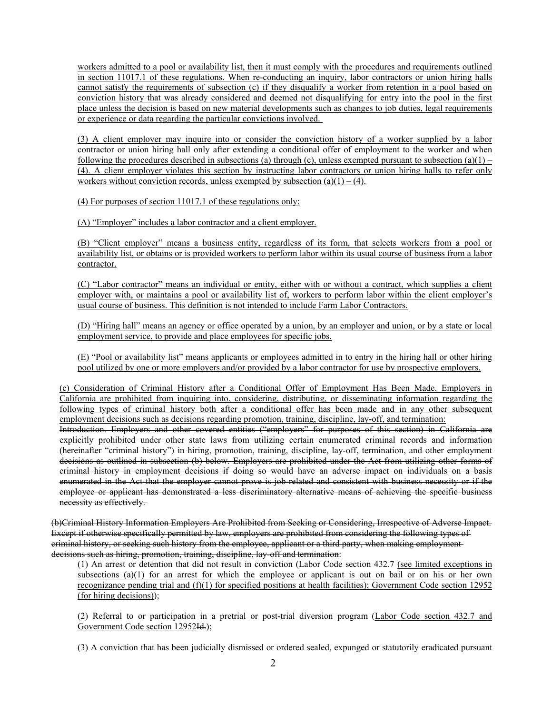workers admitted to a pool or availability list, then it must comply with the procedures and requirements outlined in section 11017.1 of these regulations. When re-conducting an inquiry, labor contractors or union hiring halls cannot satisfy the requirements of subsection (c) if they disqualify a worker from retention in a pool based on conviction history that was already considered and deemed not disqualifying for entry into the pool in the first place unless the decision is based on new material developments such as changes to job duties, legal requirements or experience or data regarding the particular convictions involved.

(3) A client employer may inquire into or consider the conviction history of a worker supplied by a labor contractor or union hiring hall only after extending a conditional offer of employment to the worker and when following the procedures described in subsections (a) through (c), unless exempted pursuant to subsection (a)(1) – (4). A client employer violates this section by instructing labor contractors or union hiring halls to refer only workers without conviction records, unless exempted by subsection  $(a)(1) - (4)$ .

(4) For purposes of section 11017.1 of these regulations only:

(A) "Employer" includes a labor contractor and a client employer.

(B) "Client employer" means a business entity, regardless of its form, that selects workers from a pool or availability list, or obtains or is provided workers to perform labor within its usual course of business from a labor contractor.

(C) "Labor contractor" means an individual or entity, either with or without a contract, which supplies a client employer with, or maintains a pool or availability list of, workers to perform labor within the client employer's usual course of business. This definition is not intended to include Farm Labor Contractors.

(D) "Hiring hall" means an agency or office operated by a union, by an employer and union, or by a state or local employment service, to provide and place employees for specific jobs.

(E) "Pool or availability list" means applicants or employees admitted in to entry in the hiring hall or other hiring pool utilized by one or more employers and/or provided by a labor contractor for use by prospective employers.

(c) Consideration of Criminal History after a Conditional Offer of Employment Has Been Made. Employers in California are prohibited from inquiring into, considering, distributing, or disseminating information regarding the following types of criminal history both after a conditional offer has been made and in any other subsequent employment decisions such as decisions regarding promotion, training, discipline, lay-off, and termination:

Introduction. Employers and other covered entities ("employers" for purposes of this section) in California are explicitly prohibited under other state laws from utilizing certain enumerated criminal records and information (hereinafter "criminal history") in hiring, promotion, training, discipline, lay-off, termination, and other employment decisions as outlined in subsection (b) below. Employers are prohibited under the Act from utilizing other forms of criminal history in employment decisions if doing so would have an adverse impact on individuals on a basis enumerated in the Act that the employer cannot prove is job-related and consistent with business necessity or if the employee or applicant has demonstrated a less discriminatory alternative means of achieving the specific business necessity as effectively.

(b)Criminal History Information Employers Are Prohibited from Seeking or Considering, Irrespective of Adverse Impact. Except if otherwise specifically permitted by law, employers are prohibited from considering the following types of criminal history, or seeking such history from the employee, applicant or a third party, when making employment decisions such as hiring, promotion, training, discipline, lay-off and termination:

(1) An arrest or detention that did not result in conviction (Labor Code section 432.7 (see limited exceptions in subsections (a)(1) for an arrest for which the employee or applicant is out on bail or on his or her own recognizance pending trial and  $(f)(1)$  for specified positions at health facilities); Government Code section 12952 (for hiring decisions));

(2) Referral to or participation in a pretrial or post-trial diversion program (Labor Code section 432.7 and Government Code section 12952Id.);

(3) A conviction that has been judicially dismissed or ordered sealed, expunged or statutorily eradicated pursuant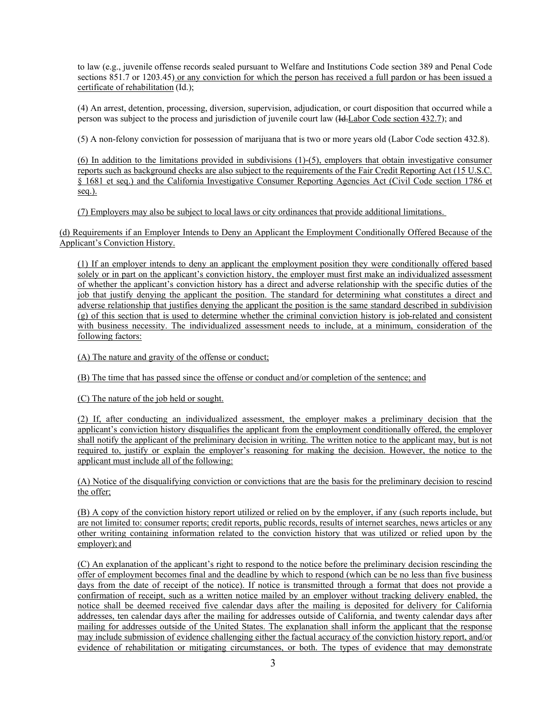to law (e.g., juvenile offense records sealed pursuant to Welfare and Institutions Code section 389 and Penal Code sections 851.7 or 1203.45) or any conviction for which the person has received a full pardon or has been issued a certificate of rehabilitation (Id.);

(4) An arrest, detention, processing, diversion, supervision, adjudication, or court disposition that occurred while a person was subject to the process and jurisdiction of juvenile court law (Id.Labor Code section 432.7); and

(5) A non-felony conviction for possession of marijuana that is two or more years old (Labor Code section 432.8).

(6) In addition to the limitations provided in subdivisions (1)-(5), employers that obtain investigative consumer reports such as background checks are also subject to the requirements of the Fair Credit Reporting Act (15 U.S.C. § 1681 et seq.) and the California Investigative Consumer Reporting Agencies Act (Civil Code section 1786 et seq.).

(7) Employers may also be subject to local laws or city ordinances that provide additional limitations.

(d) Requirements if an Employer Intends to Deny an Applicant the Employment Conditionally Offered Because of the Applicant's Conviction History.

(1) If an employer intends to deny an applicant the employment position they were conditionally offered based solely or in part on the applicant's conviction history, the employer must first make an individualized assessment of whether the applicant's conviction history has a direct and adverse relationship with the specific duties of the job that justify denying the applicant the position. The standard for determining what constitutes a direct and adverse relationship that justifies denying the applicant the position is the same standard described in subdivision (g) of this section that is used to determine whether the criminal conviction history is job-related and consistent with business necessity. The individualized assessment needs to include, at a minimum, consideration of the following factors:

(A) The nature and gravity of the offense or conduct;

(B) The time that has passed since the offense or conduct and/or completion of the sentence; and

(C) The nature of the job held or sought.

(2) If, after conducting an individualized assessment, the employer makes a preliminary decision that the applicant's conviction history disqualifies the applicant from the employment conditionally offered, the employer shall notify the applicant of the preliminary decision in writing. The written notice to the applicant may, but is not required to, justify or explain the employer's reasoning for making the decision. However, the notice to the applicant must include all of the following:

(A) Notice of the disqualifying conviction or convictions that are the basis for the preliminary decision to rescind the offer;

(B) A copy of the conviction history report utilized or relied on by the employer, if any (such reports include, but are not limited to: consumer reports; credit reports, public records, results of internet searches, news articles or any other writing containing information related to the conviction history that was utilized or relied upon by the employer); and

(C) An explanation of the applicant's right to respond to the notice before the preliminary decision rescinding the offer of employment becomes final and the deadline by which to respond (which can be no less than five business days from the date of receipt of the notice). If notice is transmitted through a format that does not provide a confirmation of receipt, such as a written notice mailed by an employer without tracking delivery enabled, the notice shall be deemed received five calendar days after the mailing is deposited for delivery for California addresses, ten calendar days after the mailing for addresses outside of California, and twenty calendar days after mailing for addresses outside of the United States. The explanation shall inform the applicant that the response may include submission of evidence challenging either the factual accuracy of the conviction history report, and/or evidence of rehabilitation or mitigating circumstances, or both. The types of evidence that may demonstrate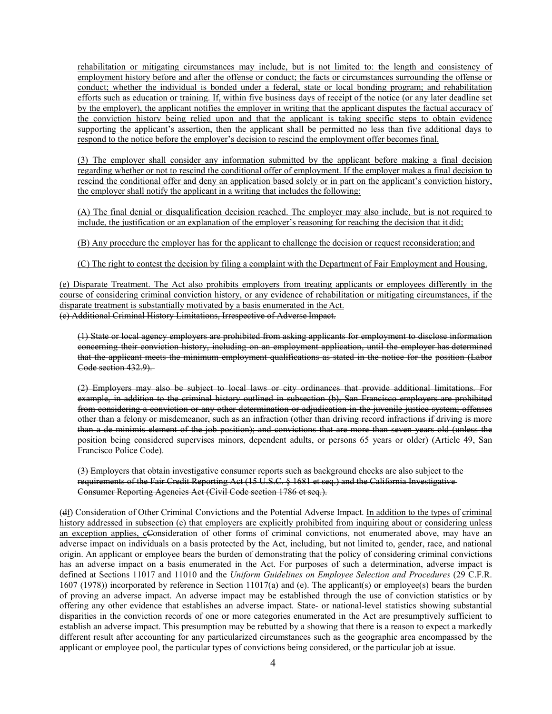rehabilitation or mitigating circumstances may include, but is not limited to: the length and consistency of employment history before and after the offense or conduct; the facts or circumstances surrounding the offense or conduct; whether the individual is bonded under a federal, state or local bonding program; and rehabilitation efforts such as education or training. If, within five business days of receipt of the notice (or any later deadline set by the employer), the applicant notifies the employer in writing that the applicant disputes the factual accuracy of the conviction history being relied upon and that the applicant is taking specific steps to obtain evidence supporting the applicant's assertion, then the applicant shall be permitted no less than five additional days to respond to the notice before the employer's decision to rescind the employment offer becomes final.

(3) The employer shall consider any information submitted by the applicant before making a final decision regarding whether or not to rescind the conditional offer of employment. If the employer makes a final decision to rescind the conditional offer and deny an application based solely or in part on the applicant's conviction history, the employer shall notify the applicant in a writing that includes the following:

(A) The final denial or disqualification decision reached. The employer may also include, but is not required to include, the justification or an explanation of the employer's reasoning for reaching the decision that it did;

(B) Any procedure the employer has for the applicant to challenge the decision or request reconsideration; and

(C) The right to contest the decision by filing a complaint with the Department of Fair Employment and Housing.

(e) Disparate Treatment. The Act also prohibits employers from treating applicants or employees differently in the course of considering criminal conviction history, or any evidence of rehabilitation or mitigating circumstances, if the disparate treatment is substantially motivated by a basis enumerated in the Act. (c) Additional Criminal History Limitations, Irrespective of Adverse Impact.

(1) State or local agency employers are prohibited from asking applicants for employment to disclose information concerning their conviction history, including on an employment application, until the employer has determined that the applicant meets the minimum employment qualifications as stated in the notice for the position (Labor Code section 432.9).

(2) Employers may also be subject to local laws or city ordinances that provide additional limitations. For example, in addition to the criminal history outlined in subsection (b), San Francisco employers are prohibited from considering a conviction or any other determination or adjudication in the juvenile justice system; offenses other than a felony or misdemeanor, such as an infraction (other than driving record infractions if driving is more than a de minimis element of the job position); and convictions that are more than seven years old (unless the position being considered supervises minors, dependent adults, or persons 65 years or older) (Article 49, San Francisco Police Code).

(3) Employers that obtain investigative consumer reports such as background checks are also subject to the requirements of the Fair Credit Reporting Act (15 U.S.C. § 1681 et seq.) and the California Investigative Consumer Reporting Agencies Act (Civil Code section 1786 et seq.).

(df) Consideration of Other Criminal Convictions and the Potential Adverse Impact. In addition to the types of criminal history addressed in subsection (c) that employers are explicitly prohibited from inquiring about or considering unless an exception applies, cConsideration of other forms of criminal convictions, not enumerated above, may have an adverse impact on individuals on a basis protected by the Act, including, but not limited to, gender, race, and national origin. An applicant or employee bears the burden of demonstrating that the policy of considering criminal convictions has an adverse impact on a basis enumerated in the Act. For purposes of such a determination, adverse impact is defined at Sections 11017 and 11010 and the *Uniform Guidelines on Employee Selection and Procedures* (29 C.F.R. 1607 (1978)) incorporated by reference in Section 11017(a) and (e). The applicant(s) or employee(s) bears the burden of proving an adverse impact. An adverse impact may be established through the use of conviction statistics or by offering any other evidence that establishes an adverse impact. State- or national-level statistics showing substantial disparities in the conviction records of one or more categories enumerated in the Act are presumptively sufficient to establish an adverse impact. This presumption may be rebutted by a showing that there is a reason to expect a markedly different result after accounting for any particularized circumstances such as the geographic area encompassed by the applicant or employee pool, the particular types of convictions being considered, or the particular job at issue.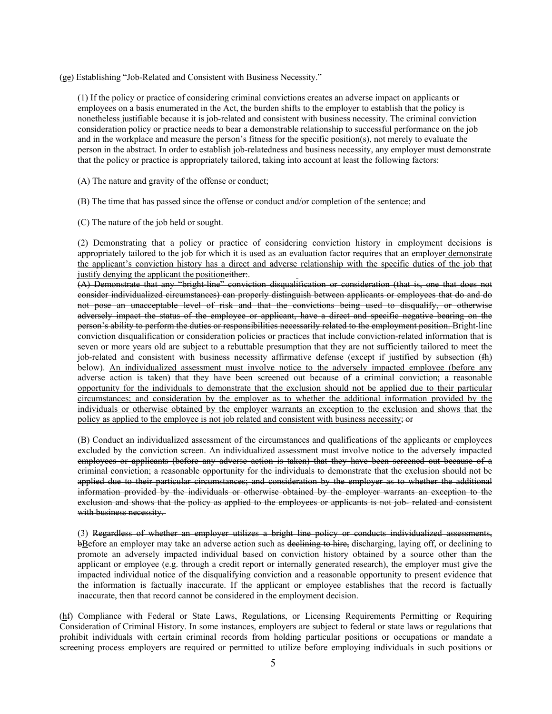(ge) Establishing "Job-Related and Consistent with Business Necessity."

(1) If the policy or practice of considering criminal convictions creates an adverse impact on applicants or employees on a basis enumerated in the Act, the burden shifts to the employer to establish that the policy is nonetheless justifiable because it is job-related and consistent with business necessity. The criminal conviction consideration policy or practice needs to bear a demonstrable relationship to successful performance on the job and in the workplace and measure the person's fitness for the specific position(s), not merely to evaluate the person in the abstract. In order to establish job-relatedness and business necessity, any employer must demonstrate that the policy or practice is appropriately tailored, taking into account at least the following factors:

(A) The nature and gravity of the offense or conduct;

(B) The time that has passed since the offense or conduct and/or completion of the sentence; and

(C) The nature of the job held or sought.

(2) Demonstrating that a policy or practice of considering conviction history in employment decisions is appropriately tailored to the job for which it is used as an evaluation factor requires that an employer demonstrate the applicant's conviction history has a direct and adverse relationship with the specific duties of the job that justify denying the applicant the positioneither.

(A) Demonstrate that any "bright-line" conviction disqualification or consideration (that is, one that does not consider individualized circumstances) can properly distinguish between applicants or employees that do and do not pose an unacceptable level of risk and that the convictions being used to disqualify, or otherwise adversely impact the status of the employee or applicant, have a direct and specific negative bearing on the person's ability to perform the duties or responsibilities necessarily related to the employment position. Bright-line conviction disqualification or consideration policies or practices that include conviction-related information that is seven or more years old are subject to a rebuttable presumption that they are not sufficiently tailored to meet the job-related and consistent with business necessity affirmative defense (except if justified by subsection (fh) below). An individualized assessment must involve notice to the adversely impacted employee (before any adverse action is taken) that they have been screened out because of a criminal conviction; a reasonable opportunity for the individuals to demonstrate that the exclusion should not be applied due to their particular circumstances; and consideration by the employer as to whether the additional information provided by the individuals or otherwise obtained by the employer warrants an exception to the exclusion and shows that the policy as applied to the employee is not job related and consistent with business necessity;  $\Theta$ 

(B) Conduct an individualized assessment of the circumstances and qualifications of the applicants or employees excluded by the conviction screen. An individualized assessment must involve notice to the adversely impacted employees or applicants (before any adverse action is taken) that they have been screened out because of a criminal conviction; a reasonable opportunity for the individuals to demonstrate that the exclusion should not be applied due to their particular circumstances; and consideration by the employer as to whether the additional information provided by the individuals or otherwise obtained by the employer warrants an exception to the exclusion and shows that the policy as applied to the employees or applicants is not job- related and consistent with business necessity.

(3) Regardless of whether an employer utilizes a bright line policy or conducts individualized assessments, bBefore an employer may take an adverse action such as declining to hire, discharging, laying off, or declining to promote an adversely impacted individual based on conviction history obtained by a source other than the applicant or employee (e.g. through a credit report or internally generated research), the employer must give the impacted individual notice of the disqualifying conviction and a reasonable opportunity to present evidence that the information is factually inaccurate. If the applicant or employee establishes that the record is factually inaccurate, then that record cannot be considered in the employment decision.

(hf) Compliance with Federal or State Laws, Regulations, or Licensing Requirements Permitting or Requiring Consideration of Criminal History. In some instances, employers are subject to federal or state laws or regulations that prohibit individuals with certain criminal records from holding particular positions or occupations or mandate a screening process employers are required or permitted to utilize before employing individuals in such positions or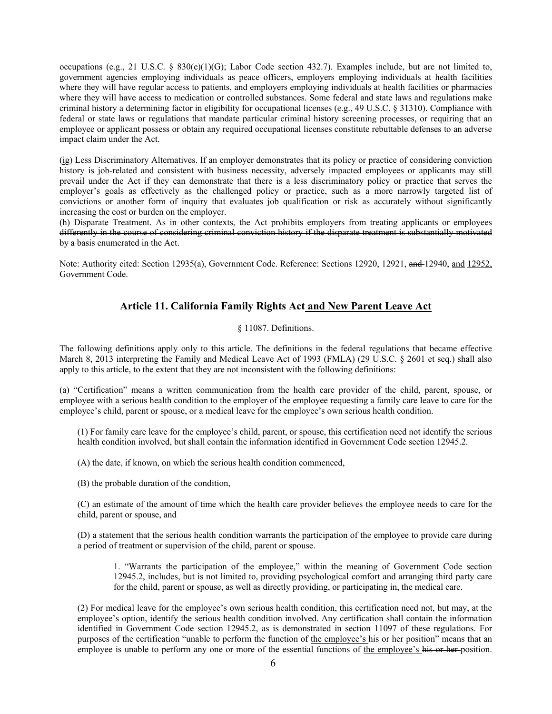occupations (e.g., 21 U.S.C. § 830(e)(1)(G); Labor Code section 432.7). Examples include, but are not limited to, government agencies employing individuals as peace officers, employers employing individuals at health facilities where they will have regular access to patients, and employers employing individuals at health facilities or pharmacies where they will have access to medication or controlled substances. Some federal and state laws and regulations make criminal history a determining factor in eligibility for occupational licenses (e.g., 49 U.S.C. § 31310). Compliance with federal or state laws or regulations that mandate particular criminal history screening processes, or requiring that an employee or applicant possess or obtain any required occupational licenses constitute rebuttable defenses to an adverse impact claim under the Act.

(ig) Less Discriminatory Alternatives. If an employer demonstrates that its policy or practice of considering conviction history is job-related and consistent with business necessity, adversely impacted employees or applicants may still prevail under the Act if they can demonstrate that there is a less discriminatory policy or practice that serves the employer's goals as effectively as the challenged policy or practice, such as a more narrowly targeted list of convictions or another form of inquiry that evaluates job qualification or risk as accurately without significantly increasing the cost or burden on the employer.

(h) Disparate Treatment. As in other contexts, the Act prohibits employers from treating applicants or employees differently in the course of considering criminal conviction history if the disparate treatment is substantially motivated by a basis enumerated in the Act.

Note: Authority cited: Section 12935(a), Government Code. Reference: Sections 12920, 12921, and 12940, and 12952, Government Code.

## **Article 11. California Family Rights Act and New Parent Leave Act**

## § 11087. Definitions.

The following definitions apply only to this article. The definitions in the federal regulations that became effective March 8, 2013 interpreting the Family and Medical Leave Act of 1993 (FMLA) (29 U.S.C. § 2601 et seq.) shall also apply to this article, to the extent that they are not inconsistent with the following definitions:

(a) "Certification" means a written communication from the health care provider of the child, parent, spouse, or employee with a serious health condition to the employer of the employee requesting a family care leave to care for the employee's child, parent or spouse, or a medical leave for the employee's own serious health condition.

(1) For family care leave for the employee's child, parent, or spouse, this certification need not identify the serious health condition involved, but shall contain the information identified in Government Code section 12945.2.

(A) the date, if known, on which the serious health condition commenced,

(B) the probable duration of the condition,

(C) an estimate of the amount of time which the health care provider believes the employee needs to care for the child, parent or spouse, and

(D) a statement that the serious health condition warrants the participation of the employee to provide care during a period of treatment or supervision of the child, parent or spouse.

1. "Warrants the participation of the employee," within the meaning of Government Code section 12945.2, includes, but is not limited to, providing psychological comfort and arranging third party care for the child, parent or spouse, as well as directly providing, or participating in, the medical care.

(2) For medical leave for the employee's own serious health condition, this certification need not, but may, at the employee's option, identify the serious health condition involved. Any certification shall contain the information identified in Government Code section 12945.2, as is demonstrated in section 11097 of these regulations. For purposes of the certification "unable to perform the function of the employee's his or her position" means that an employee is unable to perform any one or more of the essential functions of the employee's his or her position.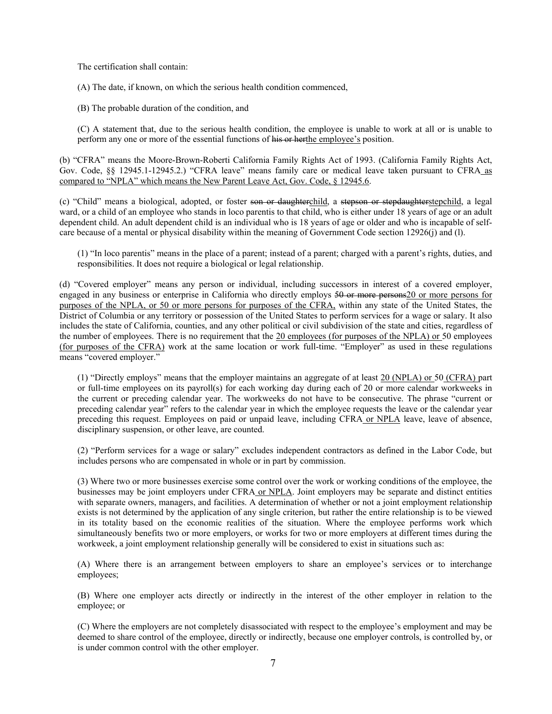The certification shall contain:

(A) The date, if known, on which the serious health condition commenced,

(B) The probable duration of the condition, and

(C) A statement that, due to the serious health condition, the employee is unable to work at all or is unable to perform any one or more of the essential functions of his or herthe employee's position.

(b) "CFRA" means the Moore-Brown-Roberti California Family Rights Act of 1993. (California Family Rights Act, Gov. Code, §§ 12945.1-12945.2.) "CFRA leave" means family care or medical leave taken pursuant to CFRA as compared to "NPLA" which means the New Parent Leave Act, Gov. Code, § 12945.6.

(c) "Child" means a biological, adopted, or foster son or daughterchild, a stepson or stepdaughterstepchild, a legal ward, or a child of an employee who stands in loco parentis to that child, who is either under 18 years of age or an adult dependent child. An adult dependent child is an individual who is 18 years of age or older and who is incapable of selfcare because of a mental or physical disability within the meaning of Government Code section 12926(j) and (l).

(1) "In loco parentis" means in the place of a parent; instead of a parent; charged with a parent's rights, duties, and responsibilities. It does not require a biological or legal relationship.

(d) "Covered employer" means any person or individual, including successors in interest of a covered employer, engaged in any business or enterprise in California who directly employs 50 or more persons20 or more persons for purposes of the NPLA, or 50 or more persons for purposes of the CFRA, within any state of the United States, the District of Columbia or any territory or possession of the United States to perform services for a wage or salary. It also includes the state of California, counties, and any other political or civil subdivision of the state and cities, regardless of the number of employees. There is no requirement that the 20 employees (for purposes of the NPLA) or 50 employees (for purposes of the CFRA) work at the same location or work full-time. "Employer" as used in these regulations means "covered employer."

(1) "Directly employs" means that the employer maintains an aggregate of at least 20 (NPLA) or 50 (CFRA) part or full-time employees on its payroll(s) for each working day during each of 20 or more calendar workweeks in the current or preceding calendar year. The workweeks do not have to be consecutive. The phrase "current or preceding calendar year" refers to the calendar year in which the employee requests the leave or the calendar year preceding this request. Employees on paid or unpaid leave, including CFRA or NPLA leave, leave of absence, disciplinary suspension, or other leave, are counted.

(2) "Perform services for a wage or salary" excludes independent contractors as defined in the Labor Code, but includes persons who are compensated in whole or in part by commission.

(3) Where two or more businesses exercise some control over the work or working conditions of the employee, the businesses may be joint employers under CFRA or NPLA. Joint employers may be separate and distinct entities with separate owners, managers, and facilities. A determination of whether or not a joint employment relationship exists is not determined by the application of any single criterion, but rather the entire relationship is to be viewed in its totality based on the economic realities of the situation. Where the employee performs work which simultaneously benefits two or more employers, or works for two or more employers at different times during the workweek, a joint employment relationship generally will be considered to exist in situations such as:

(A) Where there is an arrangement between employers to share an employee's services or to interchange employees;

(B) Where one employer acts directly or indirectly in the interest of the other employer in relation to the employee; or

(C) Where the employers are not completely disassociated with respect to the employee's employment and may be deemed to share control of the employee, directly or indirectly, because one employer controls, is controlled by, or is under common control with the other employer.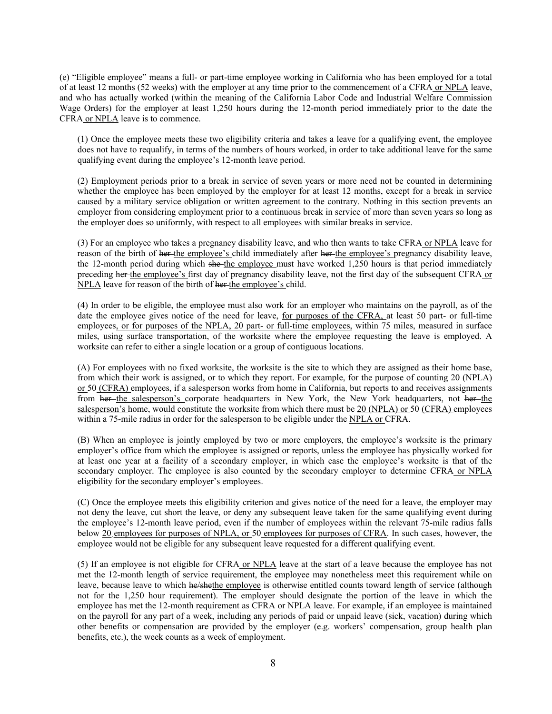(e) "Eligible employee" means a full- or part-time employee working in California who has been employed for a total of at least 12 months (52 weeks) with the employer at any time prior to the commencement of a CFRA or NPLA leave, and who has actually worked (within the meaning of the California Labor Code and Industrial Welfare Commission Wage Orders) for the employer at least 1,250 hours during the 12-month period immediately prior to the date the CFRA or NPLA leave is to commence.

(1) Once the employee meets these two eligibility criteria and takes a leave for a qualifying event, the employee does not have to requalify, in terms of the numbers of hours worked, in order to take additional leave for the same qualifying event during the employee's 12-month leave period.

(2) Employment periods prior to a break in service of seven years or more need not be counted in determining whether the employee has been employed by the employer for at least 12 months, except for a break in service caused by a military service obligation or written agreement to the contrary. Nothing in this section prevents an employer from considering employment prior to a continuous break in service of more than seven years so long as the employer does so uniformly, with respect to all employees with similar breaks in service.

(3) For an employee who takes a pregnancy disability leave, and who then wants to take CFRA or NPLA leave for reason of the birth of her the employee's child immediately after her the employee's pregnancy disability leave, the 12-month period during which she the employee must have worked 1,250 hours is that period immediately preceding her the employee's first day of pregnancy disability leave, not the first day of the subsequent CFRA or NPLA leave for reason of the birth of her the employee's child.

(4) In order to be eligible, the employee must also work for an employer who maintains on the payroll, as of the date the employee gives notice of the need for leave, for purposes of the CFRA, at least 50 part- or full-time employees, or for purposes of the NPLA, 20 part- or full-time employees, within 75 miles, measured in surface miles, using surface transportation, of the worksite where the employee requesting the leave is employed. A worksite can refer to either a single location or a group of contiguous locations.

(A) For employees with no fixed worksite, the worksite is the site to which they are assigned as their home base, from which their work is assigned, or to which they report. For example, for the purpose of counting 20 (NPLA) or 50 (CFRA) employees, if a salesperson works from home in California, but reports to and receives assignments from her-the salesperson's corporate headquarters in New York, the New York headquarters, not her the salesperson's home, would constitute the worksite from which there must be 20 (NPLA) or 50 (CFRA) employees within a 75-mile radius in order for the salesperson to be eligible under the NPLA or CFRA.

(B) When an employee is jointly employed by two or more employers, the employee's worksite is the primary employer's office from which the employee is assigned or reports, unless the employee has physically worked for at least one year at a facility of a secondary employer, in which case the employee's worksite is that of the secondary employer. The employee is also counted by the secondary employer to determine CFRA or NPLA eligibility for the secondary employer's employees.

(C) Once the employee meets this eligibility criterion and gives notice of the need for a leave, the employer may not deny the leave, cut short the leave, or deny any subsequent leave taken for the same qualifying event during the employee's 12-month leave period, even if the number of employees within the relevant 75-mile radius falls below 20 employees for purposes of NPLA, or 50 employees for purposes of CFRA. In such cases, however, the employee would not be eligible for any subsequent leave requested for a different qualifying event.

(5) If an employee is not eligible for CFRA or NPLA leave at the start of a leave because the employee has not met the 12-month length of service requirement, the employee may nonetheless meet this requirement while on leave, because leave to which he/shethe employee is otherwise entitled counts toward length of service (although not for the 1,250 hour requirement). The employer should designate the portion of the leave in which the employee has met the 12-month requirement as CFRA or NPLA leave. For example, if an employee is maintained on the payroll for any part of a week, including any periods of paid or unpaid leave (sick, vacation) during which other benefits or compensation are provided by the employer (e.g. workers' compensation, group health plan benefits, etc.), the week counts as a week of employment.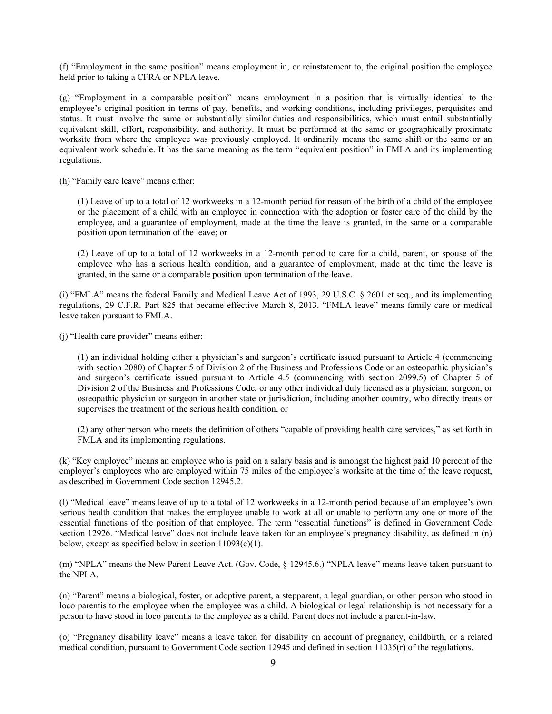(f) "Employment in the same position" means employment in, or reinstatement to, the original position the employee held prior to taking a CFRA or NPLA leave.

(g) "Employment in a comparable position" means employment in a position that is virtually identical to the employee's original position in terms of pay, benefits, and working conditions, including privileges, perquisites and status. It must involve the same or substantially similar duties and responsibilities, which must entail substantially equivalent skill, effort, responsibility, and authority. It must be performed at the same or geographically proximate worksite from where the employee was previously employed. It ordinarily means the same shift or the same or an equivalent work schedule. It has the same meaning as the term "equivalent position" in FMLA and its implementing regulations.

(h) "Family care leave" means either:

(1) Leave of up to a total of 12 workweeks in a 12-month period for reason of the birth of a child of the employee or the placement of a child with an employee in connection with the adoption or foster care of the child by the employee, and a guarantee of employment, made at the time the leave is granted, in the same or a comparable position upon termination of the leave; or

(2) Leave of up to a total of 12 workweeks in a 12-month period to care for a child, parent, or spouse of the employee who has a serious health condition, and a guarantee of employment, made at the time the leave is granted, in the same or a comparable position upon termination of the leave.

(i) "FMLA" means the federal Family and Medical Leave Act of 1993, 29 U.S.C. § 2601 et seq., and its implementing regulations, 29 C.F.R. Part 825 that became effective March 8, 2013. "FMLA leave" means family care or medical leave taken pursuant to FMLA.

(j) "Health care provider" means either:

(1) an individual holding either a physician's and surgeon's certificate issued pursuant to Article 4 (commencing with section 2080) of Chapter 5 of Division 2 of the Business and Professions Code or an osteopathic physician's and surgeon's certificate issued pursuant to Article 4.5 (commencing with section 2099.5) of Chapter 5 of Division 2 of the Business and Professions Code, or any other individual duly licensed as a physician, surgeon, or osteopathic physician or surgeon in another state or jurisdiction, including another country, who directly treats or supervises the treatment of the serious health condition, or

(2) any other person who meets the definition of others "capable of providing health care services," as set forth in FMLA and its implementing regulations.

(k) "Key employee" means an employee who is paid on a salary basis and is amongst the highest paid 10 percent of the employer's employees who are employed within 75 miles of the employee's worksite at the time of the leave request, as described in Government Code section 12945.2.

(l) "Medical leave" means leave of up to a total of 12 workweeks in a 12-month period because of an employee's own serious health condition that makes the employee unable to work at all or unable to perform any one or more of the essential functions of the position of that employee. The term "essential functions" is defined in Government Code section 12926. "Medical leave" does not include leave taken for an employee's pregnancy disability, as defined in (n) below, except as specified below in section  $11093(c)(1)$ .

(m) "NPLA" means the New Parent Leave Act. (Gov. Code, § 12945.6.) "NPLA leave" means leave taken pursuant to the NPLA.

(n) "Parent" means a biological, foster, or adoptive parent, a stepparent, a legal guardian, or other person who stood in loco parentis to the employee when the employee was a child. A biological or legal relationship is not necessary for a person to have stood in loco parentis to the employee as a child. Parent does not include a parent-in-law.

(o) "Pregnancy disability leave" means a leave taken for disability on account of pregnancy, childbirth, or a related medical condition, pursuant to Government Code section 12945 and defined in section 11035(r) of the regulations.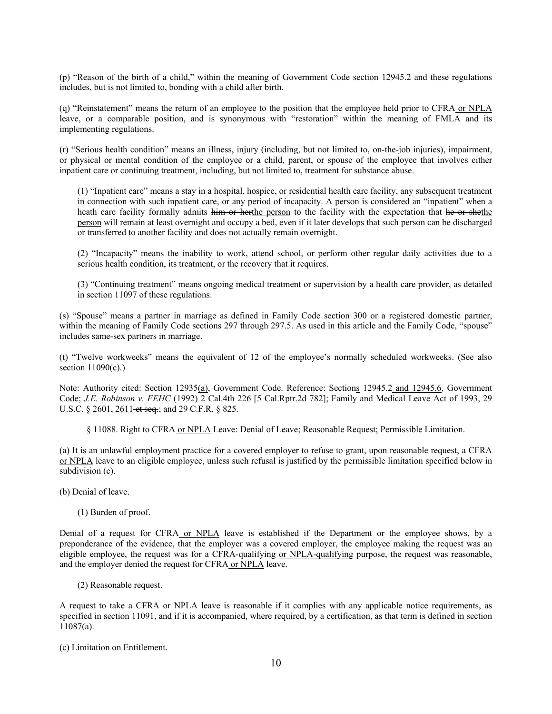(p) "Reason of the birth of a child," within the meaning of Government Code section 12945.2 and these regulations includes, but is not limited to, bonding with a child after birth.

(q) "Reinstatement" means the return of an employee to the position that the employee held prior to CFRA or NPLA leave, or a comparable position, and is synonymous with "restoration" within the meaning of FMLA and its implementing regulations.

(r) "Serious health condition" means an illness, injury (including, but not limited to, on-the-job injuries), impairment, or physical or mental condition of the employee or a child, parent, or spouse of the employee that involves either inpatient care or continuing treatment, including, but not limited to, treatment for substance abuse.

(1) "Inpatient care" means a stay in a hospital, hospice, or residential health care facility, any subsequent treatment in connection with such inpatient care, or any period of incapacity. A person is considered an "inpatient" when a heath care facility formally admits him or herthe person to the facility with the expectation that he or shethe person will remain at least overnight and occupy a bed, even if it later develops that such person can be discharged or transferred to another facility and does not actually remain overnight.

(2) "Incapacity" means the inability to work, attend school, or perform other regular daily activities due to a serious health condition, its treatment, or the recovery that it requires.

(3) "Continuing treatment" means ongoing medical treatment or supervision by a health care provider, as detailed in section 11097 of these regulations.

(s) "Spouse" means a partner in marriage as defined in Family Code section 300 or a registered domestic partner, within the meaning of Family Code sections 297 through 297.5. As used in this article and the Family Code, "spouse" includes same-sex partners in marriage.

(t) "Twelve workweeks" means the equivalent of 12 of the employee's normally scheduled workweeks. (See also section  $11090(c)$ .)

Note: Authority cited: Section 12935(a), Government Code. Reference: Sections 12945.2 and 12945.6, Government Code; *J.E. Robinson v. FEHC* (1992) 2 Cal.4th 226 [5 Cal.Rptr.2d 782]; Family and Medical Leave Act of 1993, 29 U.S.C. § 2601, 2611 et seq.; and 29 C.F.R. § 825.

§ 11088. Right to CFRA or NPLA Leave: Denial of Leave; Reasonable Request; Permissible Limitation.

(a) It is an unlawful employment practice for a covered employer to refuse to grant, upon reasonable request, a CFRA or NPLA leave to an eligible employee, unless such refusal is justified by the permissible limitation specified below in subdivision (c).

(b) Denial of leave.

(1) Burden of proof.

Denial of a request for CFRA or NPLA leave is established if the Department or the employee shows, by a preponderance of the evidence, that the employer was a covered employer, the employee making the request was an eligible employee, the request was for a CFRA-qualifying or NPLA-qualifying purpose, the request was reasonable, and the employer denied the request for CFRA or NPLA leave.

(2) Reasonable request.

A request to take a CFRA or NPLA leave is reasonable if it complies with any applicable notice requirements, as specified in section 11091, and if it is accompanied, where required, by a certification, as that term is defined in section 11087(a).

(c) Limitation on Entitlement.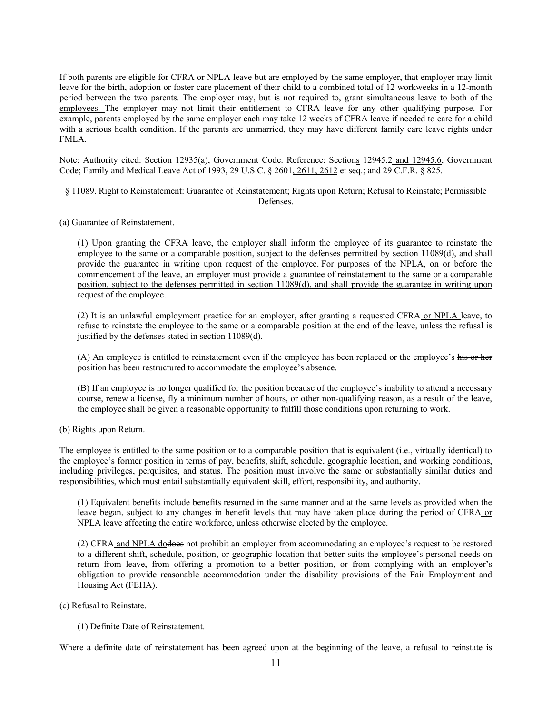If both parents are eligible for CFRA or NPLA leave but are employed by the same employer, that employer may limit leave for the birth, adoption or foster care placement of their child to a combined total of 12 workweeks in a 12-month period between the two parents. The employer may, but is not required to, grant simultaneous leave to both of the employees. The employer may not limit their entitlement to CFRA leave for any other qualifying purpose. For example, parents employed by the same employer each may take 12 weeks of CFRA leave if needed to care for a child with a serious health condition. If the parents are unmarried, they may have different family care leave rights under FMLA.

Note: Authority cited: Section 12935(a), Government Code. Reference: Sections 12945.2 and 12945.6, Government Code; Family and Medical Leave Act of 1993, 29 U.S.C. § 2601, 2611, 2612 et seq.; and 29 C.F.R. § 825.

- § 11089. Right to Reinstatement: Guarantee of Reinstatement; Rights upon Return; Refusal to Reinstate; Permissible Defenses.
- (a) Guarantee of Reinstatement.

(1) Upon granting the CFRA leave, the employer shall inform the employee of its guarantee to reinstate the employee to the same or a comparable position, subject to the defenses permitted by section 11089(d), and shall provide the guarantee in writing upon request of the employee. For purposes of the NPLA, on or before the commencement of the leave, an employer must provide a guarantee of reinstatement to the same or a comparable position, subject to the defenses permitted in section 11089(d), and shall provide the guarantee in writing upon request of the employee.

(2) It is an unlawful employment practice for an employer, after granting a requested CFRA or NPLA leave, to refuse to reinstate the employee to the same or a comparable position at the end of the leave, unless the refusal is justified by the defenses stated in section 11089(d).

(A) An employee is entitled to reinstatement even if the employee has been replaced or the employee's his or her position has been restructured to accommodate the employee's absence.

(B) If an employee is no longer qualified for the position because of the employee's inability to attend a necessary course, renew a license, fly a minimum number of hours, or other non-qualifying reason, as a result of the leave, the employee shall be given a reasonable opportunity to fulfill those conditions upon returning to work.

(b) Rights upon Return.

The employee is entitled to the same position or to a comparable position that is equivalent (i.e., virtually identical) to the employee's former position in terms of pay, benefits, shift, schedule, geographic location, and working conditions, including privileges, perquisites, and status. The position must involve the same or substantially similar duties and responsibilities, which must entail substantially equivalent skill, effort, responsibility, and authority.

(1) Equivalent benefits include benefits resumed in the same manner and at the same levels as provided when the leave began, subject to any changes in benefit levels that may have taken place during the period of CFRA or NPLA leave affecting the entire workforce, unless otherwise elected by the employee.

(2) CFRA and NPLA dodoes not prohibit an employer from accommodating an employee's request to be restored to a different shift, schedule, position, or geographic location that better suits the employee's personal needs on return from leave, from offering a promotion to a better position, or from complying with an employer's obligation to provide reasonable accommodation under the disability provisions of the Fair Employment and Housing Act (FEHA).

- (c) Refusal to Reinstate.
	- (1) Definite Date of Reinstatement.

Where a definite date of reinstatement has been agreed upon at the beginning of the leave, a refusal to reinstate is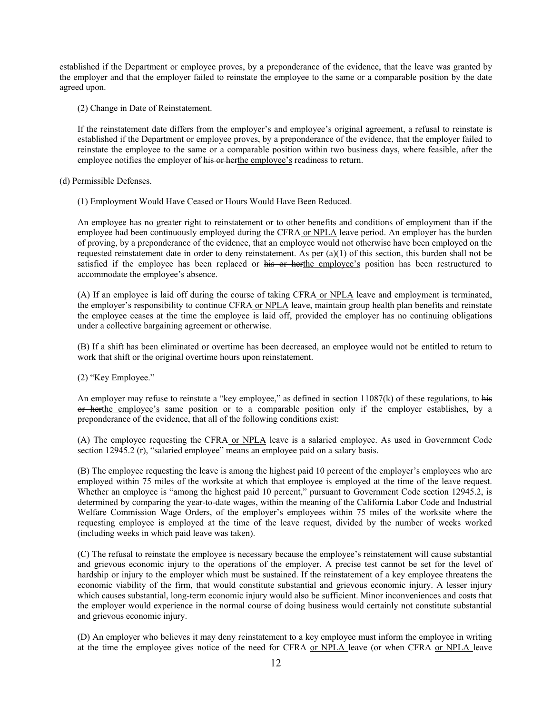established if the Department or employee proves, by a preponderance of the evidence, that the leave was granted by the employer and that the employer failed to reinstate the employee to the same or a comparable position by the date agreed upon.

(2) Change in Date of Reinstatement.

If the reinstatement date differs from the employer's and employee's original agreement, a refusal to reinstate is established if the Department or employee proves, by a preponderance of the evidence, that the employer failed to reinstate the employee to the same or a comparable position within two business days, where feasible, after the employee notifies the employer of his or herthe employee's readiness to return.

(d) Permissible Defenses.

(1) Employment Would Have Ceased or Hours Would Have Been Reduced.

An employee has no greater right to reinstatement or to other benefits and conditions of employment than if the employee had been continuously employed during the CFRA or NPLA leave period. An employer has the burden of proving, by a preponderance of the evidence, that an employee would not otherwise have been employed on the requested reinstatement date in order to deny reinstatement. As per (a)(1) of this section, this burden shall not be satisfied if the employee has been replaced or his or herthe employee's position has been restructured to accommodate the employee's absence.

(A) If an employee is laid off during the course of taking CFRA or NPLA leave and employment is terminated, the employer's responsibility to continue CFRA or NPLA leave, maintain group health plan benefits and reinstate the employee ceases at the time the employee is laid off, provided the employer has no continuing obligations under a collective bargaining agreement or otherwise.

(B) If a shift has been eliminated or overtime has been decreased, an employee would not be entitled to return to work that shift or the original overtime hours upon reinstatement.

(2) "Key Employee."

An employer may refuse to reinstate a "key employee," as defined in section  $11087(k)$  of these regulations, to his or herthe employee's same position or to a comparable position only if the employer establishes, by a preponderance of the evidence, that all of the following conditions exist:

(A) The employee requesting the CFRA or NPLA leave is a salaried employee. As used in Government Code section 12945.2 (r), "salaried employee" means an employee paid on a salary basis.

(B) The employee requesting the leave is among the highest paid 10 percent of the employer's employees who are employed within 75 miles of the worksite at which that employee is employed at the time of the leave request. Whether an employee is "among the highest paid 10 percent," pursuant to Government Code section 12945.2, is determined by comparing the year-to-date wages, within the meaning of the California Labor Code and Industrial Welfare Commission Wage Orders, of the employer's employees within 75 miles of the worksite where the requesting employee is employed at the time of the leave request, divided by the number of weeks worked (including weeks in which paid leave was taken).

(C) The refusal to reinstate the employee is necessary because the employee's reinstatement will cause substantial and grievous economic injury to the operations of the employer. A precise test cannot be set for the level of hardship or injury to the employer which must be sustained. If the reinstatement of a key employee threatens the economic viability of the firm, that would constitute substantial and grievous economic injury. A lesser injury which causes substantial, long-term economic injury would also be sufficient. Minor inconveniences and costs that the employer would experience in the normal course of doing business would certainly not constitute substantial and grievous economic injury.

(D) An employer who believes it may deny reinstatement to a key employee must inform the employee in writing at the time the employee gives notice of the need for CFRA or NPLA leave (or when CFRA or NPLA leave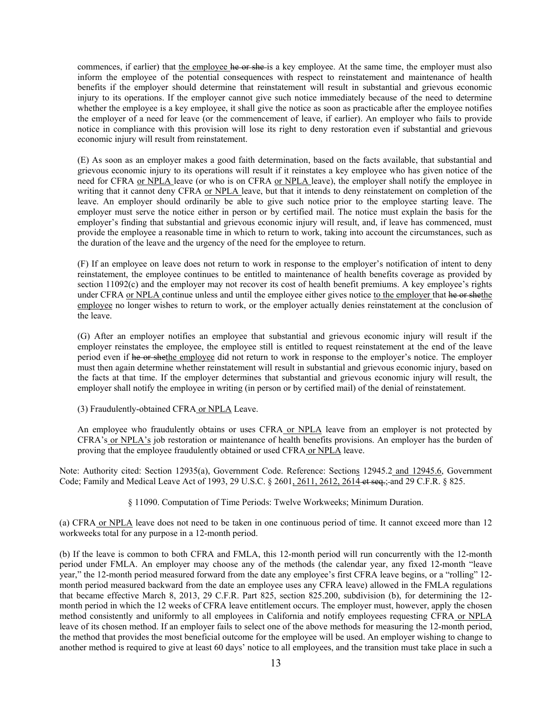commences, if earlier) that the employee he or she-is a key employee. At the same time, the employer must also inform the employee of the potential consequences with respect to reinstatement and maintenance of health benefits if the employer should determine that reinstatement will result in substantial and grievous economic injury to its operations. If the employer cannot give such notice immediately because of the need to determine whether the employee is a key employee, it shall give the notice as soon as practicable after the employee notifies the employer of a need for leave (or the commencement of leave, if earlier). An employer who fails to provide notice in compliance with this provision will lose its right to deny restoration even if substantial and grievous economic injury will result from reinstatement.

(E) As soon as an employer makes a good faith determination, based on the facts available, that substantial and grievous economic injury to its operations will result if it reinstates a key employee who has given notice of the need for CFRA or NPLA leave (or who is on CFRA or NPLA leave), the employer shall notify the employee in writing that it cannot deny CFRA or NPLA leave, but that it intends to deny reinstatement on completion of the leave. An employer should ordinarily be able to give such notice prior to the employee starting leave. The employer must serve the notice either in person or by certified mail. The notice must explain the basis for the employer's finding that substantial and grievous economic injury will result, and, if leave has commenced, must provide the employee a reasonable time in which to return to work, taking into account the circumstances, such as the duration of the leave and the urgency of the need for the employee to return.

(F) If an employee on leave does not return to work in response to the employer's notification of intent to deny reinstatement, the employee continues to be entitled to maintenance of health benefits coverage as provided by section 11092(c) and the employer may not recover its cost of health benefit premiums. A key employee's rights under CFRA or NPLA continue unless and until the employee either gives notice to the employer that he or shethe employee no longer wishes to return to work, or the employer actually denies reinstatement at the conclusion of the leave.

(G) After an employer notifies an employee that substantial and grievous economic injury will result if the employer reinstates the employee, the employee still is entitled to request reinstatement at the end of the leave period even if he or shethe employee did not return to work in response to the employer's notice. The employer must then again determine whether reinstatement will result in substantial and grievous economic injury, based on the facts at that time. If the employer determines that substantial and grievous economic injury will result, the employer shall notify the employee in writing (in person or by certified mail) of the denial of reinstatement.

(3) Fraudulently-obtained CFRA or NPLA Leave.

An employee who fraudulently obtains or uses CFRA or NPLA leave from an employer is not protected by CFRA's or NPLA's job restoration or maintenance of health benefits provisions. An employer has the burden of proving that the employee fraudulently obtained or used CFRA or NPLA leave.

Note: Authority cited: Section 12935(a), Government Code. Reference: Sections 12945.2 and 12945.6, Government Code; Family and Medical Leave Act of 1993, 29 U.S.C. § 2601, 2611, 2612, 2614 et seq.; and 29 C.F.R. § 825.

§ 11090. Computation of Time Periods: Twelve Workweeks; Minimum Duration.

(a) CFRA or NPLA leave does not need to be taken in one continuous period of time. It cannot exceed more than 12 workweeks total for any purpose in a 12-month period.

(b) If the leave is common to both CFRA and FMLA, this 12-month period will run concurrently with the 12-month period under FMLA. An employer may choose any of the methods (the calendar year, any fixed 12-month "leave year," the 12-month period measured forward from the date any employee's first CFRA leave begins, or a "rolling" 12 month period measured backward from the date an employee uses any CFRA leave) allowed in the FMLA regulations that became effective March 8, 2013, 29 C.F.R. Part 825, section 825.200, subdivision (b), for determining the 12 month period in which the 12 weeks of CFRA leave entitlement occurs. The employer must, however, apply the chosen method consistently and uniformly to all employees in California and notify employees requesting CFRA or NPLA leave of its chosen method. If an employer fails to select one of the above methods for measuring the 12-month period, the method that provides the most beneficial outcome for the employee will be used. An employer wishing to change to another method is required to give at least 60 days' notice to all employees, and the transition must take place in such a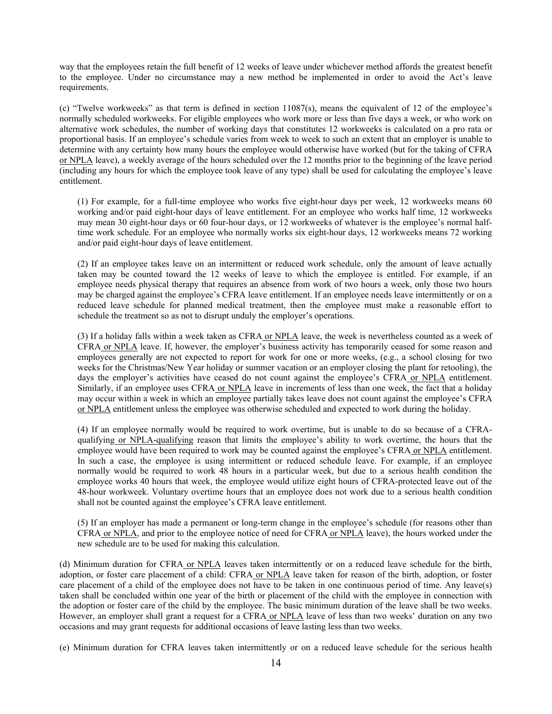way that the employees retain the full benefit of 12 weeks of leave under whichever method affords the greatest benefit to the employee. Under no circumstance may a new method be implemented in order to avoid the Act's leave requirements.

(c) "Twelve workweeks" as that term is defined in section 11087(s), means the equivalent of 12 of the employee's normally scheduled workweeks. For eligible employees who work more or less than five days a week, or who work on alternative work schedules, the number of working days that constitutes 12 workweeks is calculated on a pro rata or proportional basis. If an employee's schedule varies from week to week to such an extent that an employer is unable to determine with any certainty how many hours the employee would otherwise have worked (but for the taking of CFRA or NPLA leave), a weekly average of the hours scheduled over the 12 months prior to the beginning of the leave period (including any hours for which the employee took leave of any type) shall be used for calculating the employee's leave entitlement.

(1) For example, for a full-time employee who works five eight-hour days per week, 12 workweeks means 60 working and/or paid eight-hour days of leave entitlement. For an employee who works half time, 12 workweeks may mean 30 eight-hour days or 60 four-hour days, or 12 workweeks of whatever is the employee's normal halftime work schedule. For an employee who normally works six eight-hour days, 12 workweeks means 72 working and/or paid eight-hour days of leave entitlement.

(2) If an employee takes leave on an intermittent or reduced work schedule, only the amount of leave actually taken may be counted toward the 12 weeks of leave to which the employee is entitled. For example, if an employee needs physical therapy that requires an absence from work of two hours a week, only those two hours may be charged against the employee's CFRA leave entitlement. If an employee needs leave intermittently or on a reduced leave schedule for planned medical treatment, then the employee must make a reasonable effort to schedule the treatment so as not to disrupt unduly the employer's operations.

(3) If a holiday falls within a week taken as CFRA or NPLA leave, the week is nevertheless counted as a week of CFRA or NPLA leave. If, however, the employer's business activity has temporarily ceased for some reason and employees generally are not expected to report for work for one or more weeks, (e.g., a school closing for two weeks for the Christmas/New Year holiday or summer vacation or an employer closing the plant for retooling), the days the employer's activities have ceased do not count against the employee's CFRA or NPLA entitlement. Similarly, if an employee uses CFRA or NPLA leave in increments of less than one week, the fact that a holiday may occur within a week in which an employee partially takes leave does not count against the employee's CFRA or NPLA entitlement unless the employee was otherwise scheduled and expected to work during the holiday.

(4) If an employee normally would be required to work overtime, but is unable to do so because of a CFRAqualifying or NPLA-qualifying reason that limits the employee's ability to work overtime, the hours that the employee would have been required to work may be counted against the employee's CFRA or NPLA entitlement. In such a case, the employee is using intermittent or reduced schedule leave. For example, if an employee normally would be required to work 48 hours in a particular week, but due to a serious health condition the employee works 40 hours that week, the employee would utilize eight hours of CFRA-protected leave out of the 48-hour workweek. Voluntary overtime hours that an employee does not work due to a serious health condition shall not be counted against the employee's CFRA leave entitlement.

(5) If an employer has made a permanent or long-term change in the employee's schedule (for reasons other than CFRA or NPLA, and prior to the employee notice of need for CFRA or NPLA leave), the hours worked under the new schedule are to be used for making this calculation.

(d) Minimum duration for CFRA or NPLA leaves taken intermittently or on a reduced leave schedule for the birth, adoption, or foster care placement of a child: CFRA or NPLA leave taken for reason of the birth, adoption, or foster care placement of a child of the employee does not have to be taken in one continuous period of time. Any leave(s) taken shall be concluded within one year of the birth or placement of the child with the employee in connection with the adoption or foster care of the child by the employee. The basic minimum duration of the leave shall be two weeks. However, an employer shall grant a request for a CFRA or NPLA leave of less than two weeks' duration on any two occasions and may grant requests for additional occasions of leave lasting less than two weeks.

(e) Minimum duration for CFRA leaves taken intermittently or on a reduced leave schedule for the serious health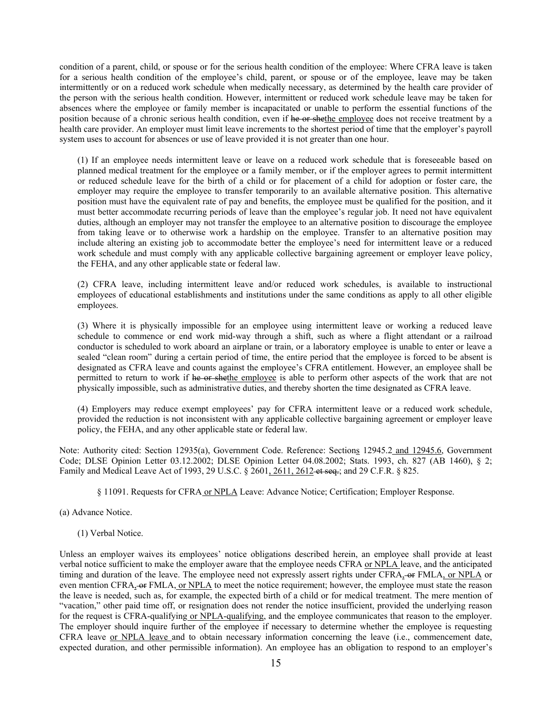condition of a parent, child, or spouse or for the serious health condition of the employee: Where CFRA leave is taken for a serious health condition of the employee's child, parent, or spouse or of the employee, leave may be taken intermittently or on a reduced work schedule when medically necessary, as determined by the health care provider of the person with the serious health condition. However, intermittent or reduced work schedule leave may be taken for absences where the employee or family member is incapacitated or unable to perform the essential functions of the position because of a chronic serious health condition, even if he or shethe employee does not receive treatment by a health care provider. An employer must limit leave increments to the shortest period of time that the employer's payroll system uses to account for absences or use of leave provided it is not greater than one hour.

(1) If an employee needs intermittent leave or leave on a reduced work schedule that is foreseeable based on planned medical treatment for the employee or a family member, or if the employer agrees to permit intermittent or reduced schedule leave for the birth of a child or for placement of a child for adoption or foster care, the employer may require the employee to transfer temporarily to an available alternative position. This alternative position must have the equivalent rate of pay and benefits, the employee must be qualified for the position, and it must better accommodate recurring periods of leave than the employee's regular job. It need not have equivalent duties, although an employer may not transfer the employee to an alternative position to discourage the employee from taking leave or to otherwise work a hardship on the employee. Transfer to an alternative position may include altering an existing job to accommodate better the employee's need for intermittent leave or a reduced work schedule and must comply with any applicable collective bargaining agreement or employer leave policy, the FEHA, and any other applicable state or federal law.

(2) CFRA leave, including intermittent leave and/or reduced work schedules, is available to instructional employees of educational establishments and institutions under the same conditions as apply to all other eligible employees.

(3) Where it is physically impossible for an employee using intermittent leave or working a reduced leave schedule to commence or end work mid-way through a shift, such as where a flight attendant or a railroad conductor is scheduled to work aboard an airplane or train, or a laboratory employee is unable to enter or leave a sealed "clean room" during a certain period of time, the entire period that the employee is forced to be absent is designated as CFRA leave and counts against the employee's CFRA entitlement. However, an employee shall be permitted to return to work if he or shethe employee is able to perform other aspects of the work that are not physically impossible, such as administrative duties, and thereby shorten the time designated as CFRA leave.

(4) Employers may reduce exempt employees' pay for CFRA intermittent leave or a reduced work schedule, provided the reduction is not inconsistent with any applicable collective bargaining agreement or employer leave policy, the FEHA, and any other applicable state or federal law.

Note: Authority cited: Section 12935(a), Government Code. Reference: Sections 12945.2 and 12945.6, Government Code; DLSE Opinion Letter 03.12.2002; DLSE Opinion Letter 04.08.2002; Stats. 1993, ch. 827 (AB 1460), § 2; Family and Medical Leave Act of 1993, 29 U.S.C. § 2601, 2611, 2612 et seq.; and 29 C.F.R. § 825.

§ 11091. Requests for CFRA or NPLA Leave: Advance Notice; Certification; Employer Response.

(a) Advance Notice.

#### (1) Verbal Notice.

Unless an employer waives its employees' notice obligations described herein, an employee shall provide at least verbal notice sufficient to make the employer aware that the employee needs CFRA or NPLA leave, and the anticipated timing and duration of the leave. The employee need not expressly assert rights under CFRA, or FMLA, or NPLA or even mention CFRA, or FMLA, or NPLA to meet the notice requirement; however, the employee must state the reason the leave is needed, such as, for example, the expected birth of a child or for medical treatment. The mere mention of "vacation," other paid time off, or resignation does not render the notice insufficient, provided the underlying reason for the request is CFRA-qualifying or NPLA-qualifying, and the employee communicates that reason to the employer. The employer should inquire further of the employee if necessary to determine whether the employee is requesting CFRA leave or NPLA leave and to obtain necessary information concerning the leave (i.e., commencement date, expected duration, and other permissible information). An employee has an obligation to respond to an employer's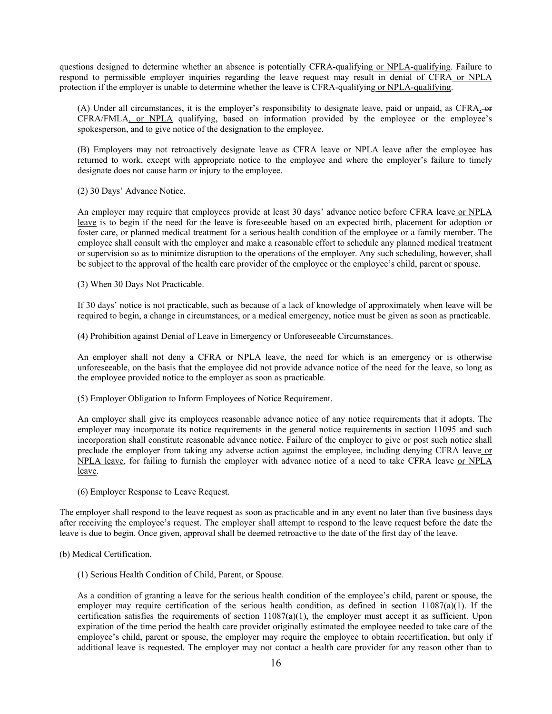questions designed to determine whether an absence is potentially CFRA-qualifying or NPLA-qualifying. Failure to respond to permissible employer inquiries regarding the leave request may result in denial of CFRA or NPLA protection if the employer is unable to determine whether the leave is CFRA-qualifying or NPLA-qualifying.

(A) Under all circumstances, it is the employer's responsibility to designate leave, paid or unpaid, as  $CFRA<sub>s</sub>$ -or CFRA/FMLA, or NPLA qualifying, based on information provided by the employee or the employee's spokesperson, and to give notice of the designation to the employee.

(B) Employers may not retroactively designate leave as CFRA leave or NPLA leave after the employee has returned to work, except with appropriate notice to the employee and where the employer's failure to timely designate does not cause harm or injury to the employee.

(2) 30 Days' Advance Notice.

An employer may require that employees provide at least 30 days' advance notice before CFRA leave or NPLA leave is to begin if the need for the leave is foreseeable based on an expected birth, placement for adoption or foster care, or planned medical treatment for a serious health condition of the employee or a family member. The employee shall consult with the employer and make a reasonable effort to schedule any planned medical treatment or supervision so as to minimize disruption to the operations of the employer. Any such scheduling, however, shall be subject to the approval of the health care provider of the employee or the employee's child, parent or spouse.

(3) When 30 Days Not Practicable.

If 30 days' notice is not practicable, such as because of a lack of knowledge of approximately when leave will be required to begin, a change in circumstances, or a medical emergency, notice must be given as soon as practicable.

(4) Prohibition against Denial of Leave in Emergency or Unforeseeable Circumstances.

An employer shall not deny a CFRA or NPLA leave, the need for which is an emergency or is otherwise unforeseeable, on the basis that the employee did not provide advance notice of the need for the leave, so long as the employee provided notice to the employer as soon as practicable.

(5) Employer Obligation to Inform Employees of Notice Requirement.

An employer shall give its employees reasonable advance notice of any notice requirements that it adopts. The employer may incorporate its notice requirements in the general notice requirements in section 11095 and such incorporation shall constitute reasonable advance notice. Failure of the employer to give or post such notice shall preclude the employer from taking any adverse action against the employee, including denying CFRA leave or NPLA leave, for failing to furnish the employer with advance notice of a need to take CFRA leave or NPLA leave.

(6) Employer Response to Leave Request.

The employer shall respond to the leave request as soon as practicable and in any event no later than five business days after receiving the employee's request. The employer shall attempt to respond to the leave request before the date the leave is due to begin. Once given, approval shall be deemed retroactive to the date of the first day of the leave.

- (b) Medical Certification.
	- (1) Serious Health Condition of Child, Parent, or Spouse.

As a condition of granting a leave for the serious health condition of the employee's child, parent or spouse, the employer may require certification of the serious health condition, as defined in section 11087(a)(1). If the certification satisfies the requirements of section  $11087(a)(1)$ , the employer must accept it as sufficient. Upon expiration of the time period the health care provider originally estimated the employee needed to take care of the employee's child, parent or spouse, the employer may require the employee to obtain recertification, but only if additional leave is requested. The employer may not contact a health care provider for any reason other than to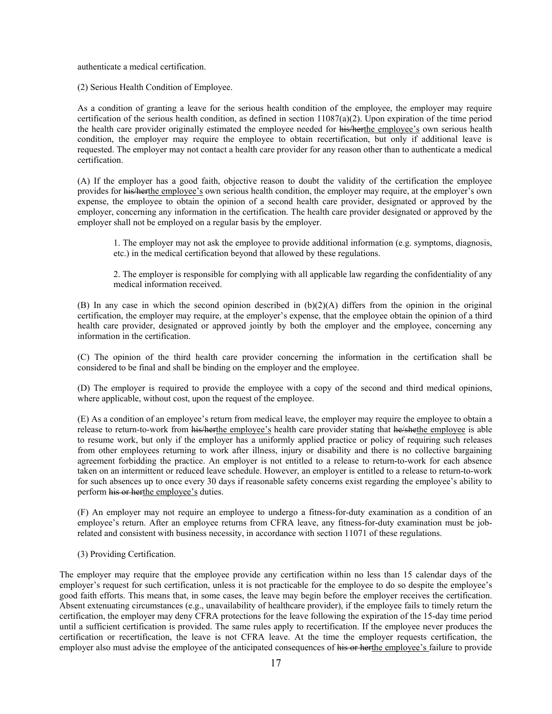authenticate a medical certification.

(2) Serious Health Condition of Employee.

As a condition of granting a leave for the serious health condition of the employee, the employer may require certification of the serious health condition, as defined in section  $11087(a)(2)$ . Upon expiration of the time period the health care provider originally estimated the employee needed for his/herthe employee's own serious health condition, the employer may require the employee to obtain recertification, but only if additional leave is requested. The employer may not contact a health care provider for any reason other than to authenticate a medical certification.

(A) If the employer has a good faith, objective reason to doubt the validity of the certification the employee provides for his/herthe employee's own serious health condition, the employer may require, at the employer's own expense, the employee to obtain the opinion of a second health care provider, designated or approved by the employer, concerning any information in the certification. The health care provider designated or approved by the employer shall not be employed on a regular basis by the employer.

1. The employer may not ask the employee to provide additional information (e.g. symptoms, diagnosis, etc.) in the medical certification beyond that allowed by these regulations.

2. The employer is responsible for complying with all applicable law regarding the confidentiality of any medical information received.

(B) In any case in which the second opinion described in  $(b)(2)(A)$  differs from the opinion in the original certification, the employer may require, at the employer's expense, that the employee obtain the opinion of a third health care provider, designated or approved jointly by both the employer and the employee, concerning any information in the certification.

(C) The opinion of the third health care provider concerning the information in the certification shall be considered to be final and shall be binding on the employer and the employee.

(D) The employer is required to provide the employee with a copy of the second and third medical opinions, where applicable, without cost, upon the request of the employee.

(E) As a condition of an employee's return from medical leave, the employer may require the employee to obtain a release to return-to-work from his/herthe employee's health care provider stating that he/shethe employee is able to resume work, but only if the employer has a uniformly applied practice or policy of requiring such releases from other employees returning to work after illness, injury or disability and there is no collective bargaining agreement forbidding the practice. An employer is not entitled to a release to return-to-work for each absence taken on an intermittent or reduced leave schedule. However, an employer is entitled to a release to return-to-work for such absences up to once every 30 days if reasonable safety concerns exist regarding the employee's ability to perform his or herthe employee's duties.

(F) An employer may not require an employee to undergo a fitness-for-duty examination as a condition of an employee's return. After an employee returns from CFRA leave, any fitness-for-duty examination must be jobrelated and consistent with business necessity, in accordance with section 11071 of these regulations.

(3) Providing Certification.

The employer may require that the employee provide any certification within no less than 15 calendar days of the employer's request for such certification, unless it is not practicable for the employee to do so despite the employee's good faith efforts. This means that, in some cases, the leave may begin before the employer receives the certification. Absent extenuating circumstances (e.g., unavailability of healthcare provider), if the employee fails to timely return the certification, the employer may deny CFRA protections for the leave following the expiration of the 15-day time period until a sufficient certification is provided. The same rules apply to recertification. If the employee never produces the certification or recertification, the leave is not CFRA leave. At the time the employer requests certification, the employer also must advise the employee of the anticipated consequences of his or herthe employee's failure to provide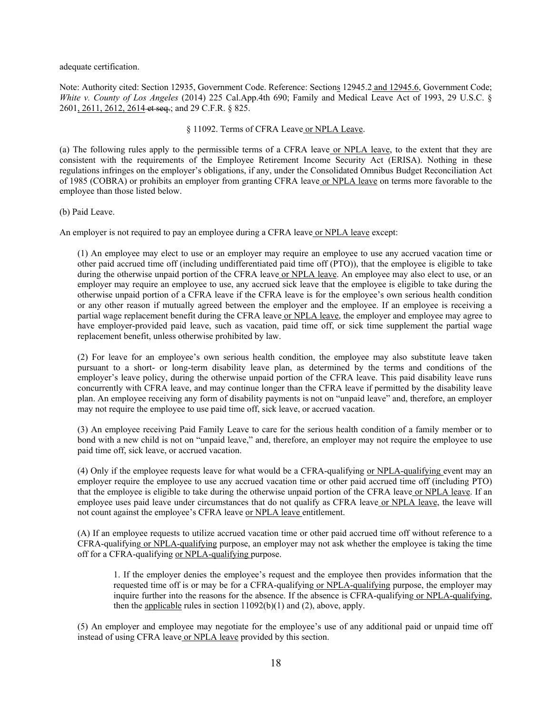adequate certification.

Note: Authority cited: Section 12935, Government Code. Reference: Sections 12945.2 and 12945.6, Government Code; *White v. County of Los Angeles* (2014) 225 Cal.App.4th 690; Family and Medical Leave Act of 1993, 29 U.S.C. § 2601, 2611, 2612, 2614 et seq.; and 29 C.F.R. § 825.

## § 11092. Terms of CFRA Leave or NPLA Leave.

(a) The following rules apply to the permissible terms of a CFRA leave or NPLA leave, to the extent that they are consistent with the requirements of the Employee Retirement Income Security Act (ERISA). Nothing in these regulations infringes on the employer's obligations, if any, under the Consolidated Omnibus Budget Reconciliation Act of 1985 (COBRA) or prohibits an employer from granting CFRA leave or NPLA leave on terms more favorable to the employee than those listed below.

(b) Paid Leave.

An employer is not required to pay an employee during a CFRA leave or NPLA leave except:

(1) An employee may elect to use or an employer may require an employee to use any accrued vacation time or other paid accrued time off (including undifferentiated paid time off (PTO)), that the employee is eligible to take during the otherwise unpaid portion of the CFRA leave or NPLA leave. An employee may also elect to use, or an employer may require an employee to use, any accrued sick leave that the employee is eligible to take during the otherwise unpaid portion of a CFRA leave if the CFRA leave is for the employee's own serious health condition or any other reason if mutually agreed between the employer and the employee. If an employee is receiving a partial wage replacement benefit during the CFRA leave or NPLA leave, the employer and employee may agree to have employer-provided paid leave, such as vacation, paid time off, or sick time supplement the partial wage replacement benefit, unless otherwise prohibited by law.

(2) For leave for an employee's own serious health condition, the employee may also substitute leave taken pursuant to a short- or long-term disability leave plan, as determined by the terms and conditions of the employer's leave policy, during the otherwise unpaid portion of the CFRA leave. This paid disability leave runs concurrently with CFRA leave, and may continue longer than the CFRA leave if permitted by the disability leave plan. An employee receiving any form of disability payments is not on "unpaid leave" and, therefore, an employer may not require the employee to use paid time off, sick leave, or accrued vacation.

(3) An employee receiving Paid Family Leave to care for the serious health condition of a family member or to bond with a new child is not on "unpaid leave," and, therefore, an employer may not require the employee to use paid time off, sick leave, or accrued vacation.

(4) Only if the employee requests leave for what would be a CFRA-qualifying or NPLA-qualifying event may an employer require the employee to use any accrued vacation time or other paid accrued time off (including PTO) that the employee is eligible to take during the otherwise unpaid portion of the CFRA leave or NPLA leave. If an employee uses paid leave under circumstances that do not qualify as CFRA leave or NPLA leave, the leave will not count against the employee's CFRA leave or NPLA leave entitlement.

(A) If an employee requests to utilize accrued vacation time or other paid accrued time off without reference to a CFRA-qualifying or NPLA-qualifying purpose, an employer may not ask whether the employee is taking the time off for a CFRA-qualifying or NPLA-qualifying purpose.

1. If the employer denies the employee's request and the employee then provides information that the requested time off is or may be for a CFRA-qualifying or NPLA-qualifying purpose, the employer may inquire further into the reasons for the absence. If the absence is CFRA-qualifying or NPLA-qualifying, then the applicable rules in section  $11092(b)(1)$  and (2), above, apply.

(5) An employer and employee may negotiate for the employee's use of any additional paid or unpaid time off instead of using CFRA leave or NPLA leave provided by this section.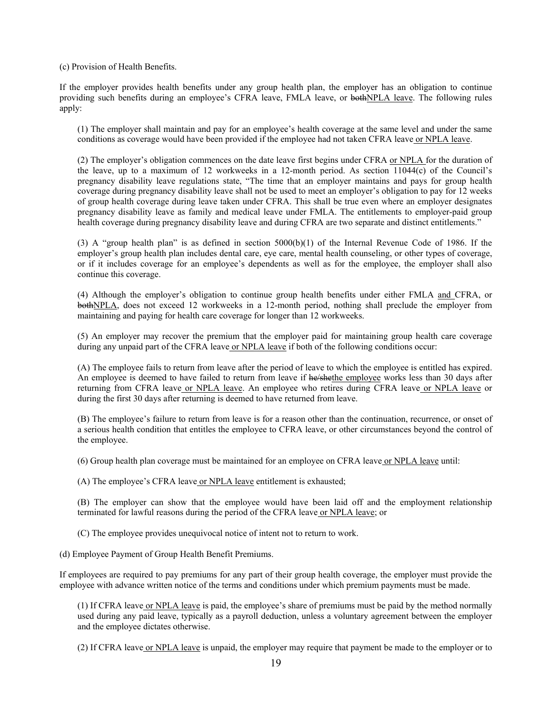(c) Provision of Health Benefits.

If the employer provides health benefits under any group health plan, the employer has an obligation to continue providing such benefits during an employee's CFRA leave, FMLA leave, or bothNPLA leave. The following rules apply:

(1) The employer shall maintain and pay for an employee's health coverage at the same level and under the same conditions as coverage would have been provided if the employee had not taken CFRA leave or NPLA leave.

(2) The employer's obligation commences on the date leave first begins under CFRA or NPLA for the duration of the leave, up to a maximum of 12 workweeks in a 12-month period. As section 11044(c) of the Council's pregnancy disability leave regulations state, "The time that an employer maintains and pays for group health coverage during pregnancy disability leave shall not be used to meet an employer's obligation to pay for 12 weeks of group health coverage during leave taken under CFRA. This shall be true even where an employer designates pregnancy disability leave as family and medical leave under FMLA. The entitlements to employer-paid group health coverage during pregnancy disability leave and during CFRA are two separate and distinct entitlements."

(3) A "group health plan" is as defined in section 5000(b)(1) of the Internal Revenue Code of 1986. If the employer's group health plan includes dental care, eye care, mental health counseling, or other types of coverage, or if it includes coverage for an employee's dependents as well as for the employee, the employer shall also continue this coverage.

(4) Although the employer's obligation to continue group health benefits under either FMLA and CFRA, or bothNPLA, does not exceed 12 workweeks in a 12-month period, nothing shall preclude the employer from maintaining and paying for health care coverage for longer than 12 workweeks.

(5) An employer may recover the premium that the employer paid for maintaining group health care coverage during any unpaid part of the CFRA leave or NPLA leave if both of the following conditions occur:

(A) The employee fails to return from leave after the period of leave to which the employee is entitled has expired. An employee is deemed to have failed to return from leave if he/shethe employee works less than 30 days after returning from CFRA leave or NPLA leave. An employee who retires during CFRA leave or NPLA leave or during the first 30 days after returning is deemed to have returned from leave.

(B) The employee's failure to return from leave is for a reason other than the continuation, recurrence, or onset of a serious health condition that entitles the employee to CFRA leave, or other circumstances beyond the control of the employee.

(6) Group health plan coverage must be maintained for an employee on CFRA leave or NPLA leave until:

(A) The employee's CFRA leave or NPLA leave entitlement is exhausted;

(B) The employer can show that the employee would have been laid off and the employment relationship terminated for lawful reasons during the period of the CFRA leave or NPLA leave; or

(C) The employee provides unequivocal notice of intent not to return to work.

(d) Employee Payment of Group Health Benefit Premiums.

If employees are required to pay premiums for any part of their group health coverage, the employer must provide the employee with advance written notice of the terms and conditions under which premium payments must be made.

(1) If CFRA leave or NPLA leave is paid, the employee's share of premiums must be paid by the method normally used during any paid leave, typically as a payroll deduction, unless a voluntary agreement between the employer and the employee dictates otherwise.

(2) If CFRA leave or NPLA leave is unpaid, the employer may require that payment be made to the employer or to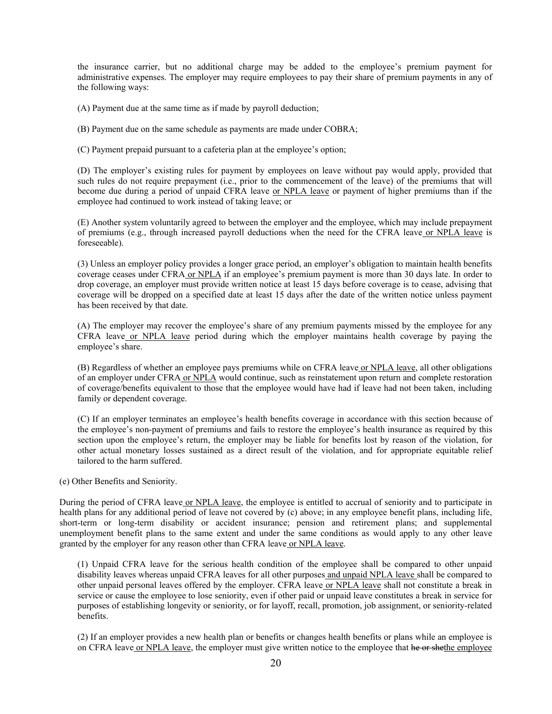the insurance carrier, but no additional charge may be added to the employee's premium payment for administrative expenses. The employer may require employees to pay their share of premium payments in any of the following ways:

(A) Payment due at the same time as if made by payroll deduction;

(B) Payment due on the same schedule as payments are made under COBRA;

(C) Payment prepaid pursuant to a cafeteria plan at the employee's option;

(D) The employer's existing rules for payment by employees on leave without pay would apply, provided that such rules do not require prepayment (i.e., prior to the commencement of the leave) of the premiums that will become due during a period of unpaid CFRA leave or NPLA leave or payment of higher premiums than if the employee had continued to work instead of taking leave; or

(E) Another system voluntarily agreed to between the employer and the employee, which may include prepayment of premiums (e.g., through increased payroll deductions when the need for the CFRA leave or NPLA leave is foreseeable).

(3) Unless an employer policy provides a longer grace period, an employer's obligation to maintain health benefits coverage ceases under CFRA or NPLA if an employee's premium payment is more than 30 days late. In order to drop coverage, an employer must provide written notice at least 15 days before coverage is to cease, advising that coverage will be dropped on a specified date at least 15 days after the date of the written notice unless payment has been received by that date.

(A) The employer may recover the employee's share of any premium payments missed by the employee for any CFRA leave or NPLA leave period during which the employer maintains health coverage by paying the employee's share.

(B) Regardless of whether an employee pays premiums while on CFRA leave or NPLA leave, all other obligations of an employer under CFRA or NPLA would continue, such as reinstatement upon return and complete restoration of coverage/benefits equivalent to those that the employee would have had if leave had not been taken, including family or dependent coverage.

(C) If an employer terminates an employee's health benefits coverage in accordance with this section because of the employee's non-payment of premiums and fails to restore the employee's health insurance as required by this section upon the employee's return, the employer may be liable for benefits lost by reason of the violation, for other actual monetary losses sustained as a direct result of the violation, and for appropriate equitable relief tailored to the harm suffered.

(e) Other Benefits and Seniority.

During the period of CFRA leave or NPLA leave, the employee is entitled to accrual of seniority and to participate in health plans for any additional period of leave not covered by (c) above; in any employee benefit plans, including life, short-term or long-term disability or accident insurance; pension and retirement plans; and supplemental unemployment benefit plans to the same extent and under the same conditions as would apply to any other leave granted by the employer for any reason other than CFRA leave or NPLA leave.

(1) Unpaid CFRA leave for the serious health condition of the employee shall be compared to other unpaid disability leaves whereas unpaid CFRA leaves for all other purposes and unpaid NPLA leave shall be compared to other unpaid personal leaves offered by the employer. CFRA leave or NPLA leave shall not constitute a break in service or cause the employee to lose seniority, even if other paid or unpaid leave constitutes a break in service for purposes of establishing longevity or seniority, or for layoff, recall, promotion, job assignment, or seniority-related benefits.

(2) If an employer provides a new health plan or benefits or changes health benefits or plans while an employee is on CFRA leave or NPLA leave, the employer must give written notice to the employee that he or shethe employee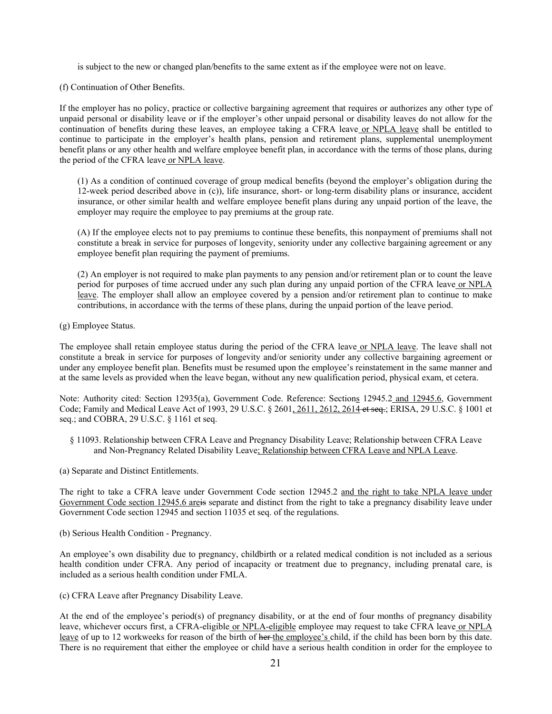is subject to the new or changed plan/benefits to the same extent as if the employee were not on leave.

(f) Continuation of Other Benefits.

If the employer has no policy, practice or collective bargaining agreement that requires or authorizes any other type of unpaid personal or disability leave or if the employer's other unpaid personal or disability leaves do not allow for the continuation of benefits during these leaves, an employee taking a CFRA leave or NPLA leave shall be entitled to continue to participate in the employer's health plans, pension and retirement plans, supplemental unemployment benefit plans or any other health and welfare employee benefit plan, in accordance with the terms of those plans, during the period of the CFRA leave or NPLA leave.

(1) As a condition of continued coverage of group medical benefits (beyond the employer's obligation during the 12-week period described above in (c)), life insurance, short- or long-term disability plans or insurance, accident insurance, or other similar health and welfare employee benefit plans during any unpaid portion of the leave, the employer may require the employee to pay premiums at the group rate.

(A) If the employee elects not to pay premiums to continue these benefits, this nonpayment of premiums shall not constitute a break in service for purposes of longevity, seniority under any collective bargaining agreement or any employee benefit plan requiring the payment of premiums.

(2) An employer is not required to make plan payments to any pension and/or retirement plan or to count the leave period for purposes of time accrued under any such plan during any unpaid portion of the CFRA leave or NPLA leave. The employer shall allow an employee covered by a pension and/or retirement plan to continue to make contributions, in accordance with the terms of these plans, during the unpaid portion of the leave period.

(g) Employee Status.

The employee shall retain employee status during the period of the CFRA leave or NPLA leave. The leave shall not constitute a break in service for purposes of longevity and/or seniority under any collective bargaining agreement or under any employee benefit plan. Benefits must be resumed upon the employee's reinstatement in the same manner and at the same levels as provided when the leave began, without any new qualification period, physical exam, et cetera.

Note: Authority cited: Section 12935(a), Government Code. Reference: Sections 12945.2 and 12945.6, Government Code; Family and Medical Leave Act of 1993, 29 U.S.C. § 2601, 2611, 2612, 2614 et seq.; ERISA, 29 U.S.C. § 1001 et seq.; and COBRA, 29 U.S.C. § 1161 et seq.

- § 11093. Relationship between CFRA Leave and Pregnancy Disability Leave; Relationship between CFRA Leave and Non-Pregnancy Related Disability Leave; Relationship between CFRA Leave and NPLA Leave.
- (a) Separate and Distinct Entitlements.

The right to take a CFRA leave under Government Code section 12945.2 and the right to take NPLA leave under Government Code section 12945.6 areis separate and distinct from the right to take a pregnancy disability leave under Government Code section 12945 and section 11035 et seq. of the regulations.

(b) Serious Health Condition - Pregnancy.

An employee's own disability due to pregnancy, childbirth or a related medical condition is not included as a serious health condition under CFRA. Any period of incapacity or treatment due to pregnancy, including prenatal care, is included as a serious health condition under FMLA.

(c) CFRA Leave after Pregnancy Disability Leave.

At the end of the employee's period(s) of pregnancy disability, or at the end of four months of pregnancy disability leave, whichever occurs first, a CFRA-eligible or NPLA-eligible employee may request to take CFRA leave or NPLA leave of up to 12 workweeks for reason of the birth of her the employee's child, if the child has been born by this date. There is no requirement that either the employee or child have a serious health condition in order for the employee to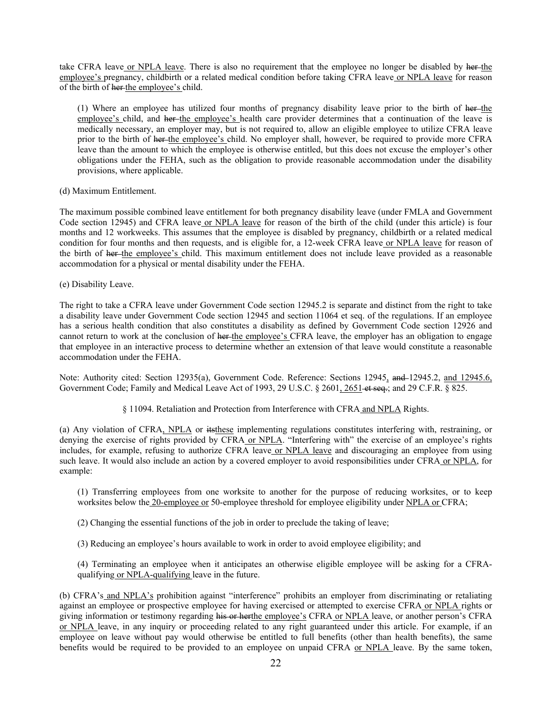take CFRA leave or NPLA leave. There is also no requirement that the employee no longer be disabled by her-the employee's pregnancy, childbirth or a related medical condition before taking CFRA leave or NPLA leave for reason of the birth of her the employee's child.

(1) Where an employee has utilized four months of pregnancy disability leave prior to the birth of her-the employee's child, and her the employee's health care provider determines that a continuation of the leave is medically necessary, an employer may, but is not required to, allow an eligible employee to utilize CFRA leave prior to the birth of her the employee's child. No employer shall, however, be required to provide more CFRA leave than the amount to which the employee is otherwise entitled, but this does not excuse the employer's other obligations under the FEHA, such as the obligation to provide reasonable accommodation under the disability provisions, where applicable.

(d) Maximum Entitlement.

The maximum possible combined leave entitlement for both pregnancy disability leave (under FMLA and Government Code section 12945) and CFRA leave or NPLA leave for reason of the birth of the child (under this article) is four months and 12 workweeks. This assumes that the employee is disabled by pregnancy, childbirth or a related medical condition for four months and then requests, and is eligible for, a 12-week CFRA leave or NPLA leave for reason of the birth of her the employee's child. This maximum entitlement does not include leave provided as a reasonable accommodation for a physical or mental disability under the FEHA.

(e) Disability Leave.

The right to take a CFRA leave under Government Code section 12945.2 is separate and distinct from the right to take a disability leave under Government Code section 12945 and section 11064 et seq. of the regulations. If an employee has a serious health condition that also constitutes a disability as defined by Government Code section 12926 and cannot return to work at the conclusion of her the employee's CFRA leave, the employer has an obligation to engage that employee in an interactive process to determine whether an extension of that leave would constitute a reasonable accommodation under the FEHA.

Note: Authority cited: Section 12935(a), Government Code. Reference: Sections 12945, and 12945.2, and 12945.6, Government Code; Family and Medical Leave Act of 1993, 29 U.S.C. § 2601, 2651 et seq.; and 29 C.F.R. § 825.

§ 11094. Retaliation and Protection from Interference with CFRA and NPLA Rights.

(a) Any violation of CFRA, NPLA or itsthese implementing regulations constitutes interfering with, restraining, or denying the exercise of rights provided by CFRA or NPLA. "Interfering with" the exercise of an employee's rights includes, for example, refusing to authorize CFRA leave or NPLA leave and discouraging an employee from using such leave. It would also include an action by a covered employer to avoid responsibilities under CFRA or NPLA, for example:

(1) Transferring employees from one worksite to another for the purpose of reducing worksites, or to keep worksites below the 20-employee or 50-employee threshold for employee eligibility under NPLA or CFRA;

- (2) Changing the essential functions of the job in order to preclude the taking of leave;
- (3) Reducing an employee's hours available to work in order to avoid employee eligibility; and

(4) Terminating an employee when it anticipates an otherwise eligible employee will be asking for a CFRAqualifying or NPLA-qualifying leave in the future.

(b) CFRA's and NPLA's prohibition against "interference" prohibits an employer from discriminating or retaliating against an employee or prospective employee for having exercised or attempted to exercise CFRA or NPLA rights or giving information or testimony regarding his or herthe employee's CFRA or NPLA leave, or another person's CFRA or NPLA leave, in any inquiry or proceeding related to any right guaranteed under this article. For example, if an employee on leave without pay would otherwise be entitled to full benefits (other than health benefits), the same benefits would be required to be provided to an employee on unpaid CFRA or NPLA leave. By the same token,